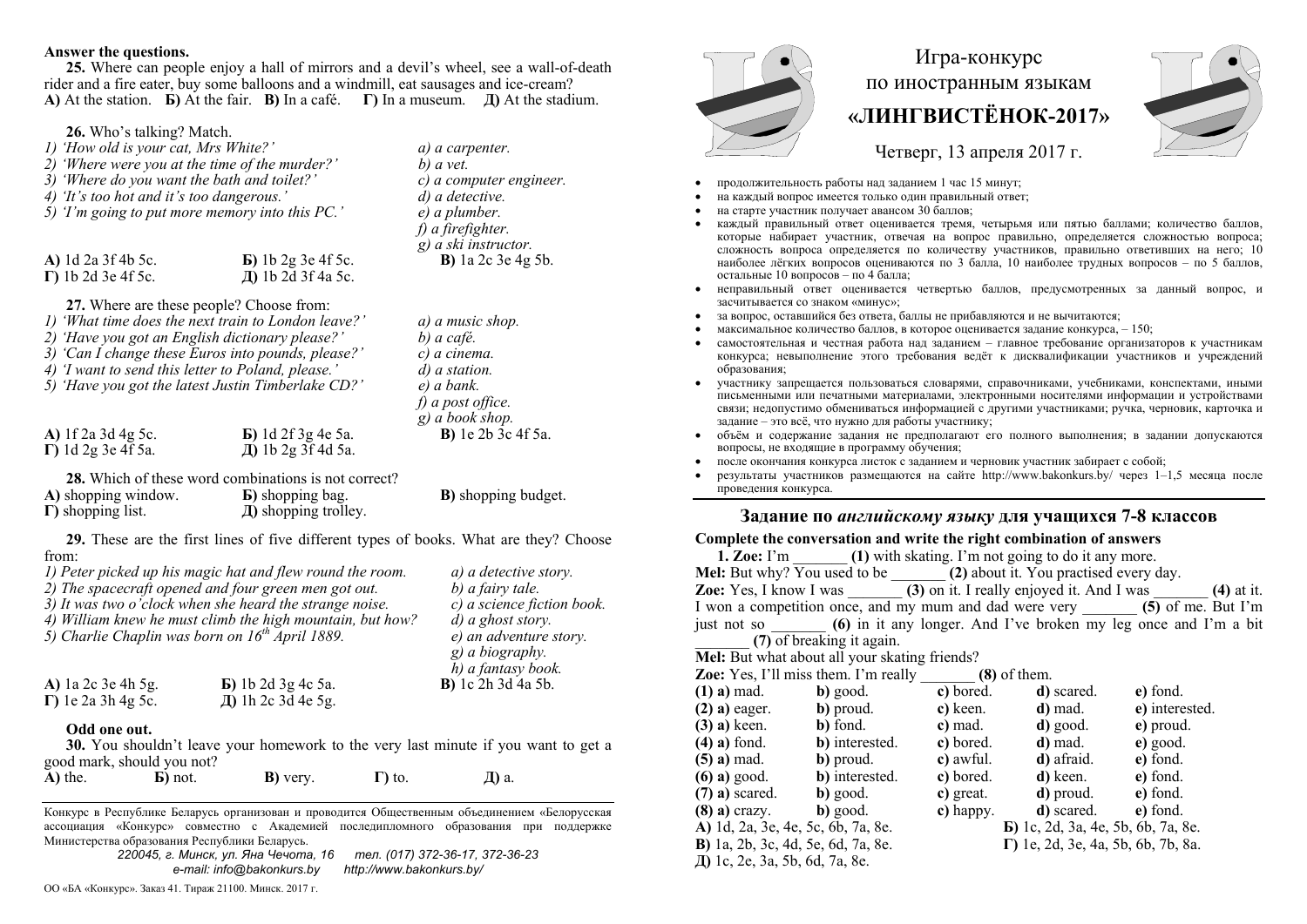### **Answer the questions.**

**25.** Where can people enjoy a hall of mirrors and a devil's wheel, see a wall-of-death rider and a fire eater, buy some balloons and a windmill, eat sausages and ice-cream? **A)** At the station.  $\bf{b}$ ) At the fair. **B**) In a café. **Γ**) In a museum. *Д***)** At the stadium.

## **26.** Who's talking? Match.

| 1) 'How old is your cat, Mrs White?'<br>2) 'Where were you at the time of the murder?'<br>3) 'Where do you want the bath and toilet?'<br>4) 'It's too hot and it's too dangerous.'<br>5) T'm going to put more memory into this PC.' |                                                                                                                                                   |                                                                                                                                                                 | a) a carpenter.<br>b) a vet.<br>c) a computer engineer.<br>d) a detective.                         | продолж<br>на каждь                                                                                                    |
|--------------------------------------------------------------------------------------------------------------------------------------------------------------------------------------------------------------------------------------|---------------------------------------------------------------------------------------------------------------------------------------------------|-----------------------------------------------------------------------------------------------------------------------------------------------------------------|----------------------------------------------------------------------------------------------------|------------------------------------------------------------------------------------------------------------------------|
|                                                                                                                                                                                                                                      |                                                                                                                                                   |                                                                                                                                                                 | e) a plumber.<br>$f$ ) a firefighter.<br>$g$ ) a ski instructor.                                   | на старте<br>каждый<br>которые<br>сложност                                                                             |
|                                                                                                                                                                                                                                      | A) 1d 2a 3f 4b 5c.<br>$\Gamma$ ) 1b 2d 3e 4f 5c.                                                                                                  | $\bf{E}$ ) 1b 2g 3e 4f 5c.<br>Д) 1b 2d 3f 4a 5c.                                                                                                                | <b>B</b> ) la 2c 3e 4g 5b.                                                                         | наиболее<br>остальны                                                                                                   |
|                                                                                                                                                                                                                                      | 27. Where are these people? Choose from:<br>2) 'Have you got an English dictionary please?'<br>4) 'I want to send this letter to Poland, please.' | 1) 'What time does the next train to London leave?'<br>3) 'Can I change these Euros into pounds, please?'<br>5) 'Have you got the latest Justin Timberlake CD?' | a) a music shop.<br>b) a café.<br>c) a cinema.<br>d) a station.<br>e) a bank.<br>f) a post office. | неправил<br>засчитыв<br>за вопрос<br>максимал<br>самостоя<br>конкурса<br>образова<br>участник<br>письменн<br>связи; не |
|                                                                                                                                                                                                                                      | A) $1f$ 2a 3d 4g 5c.                                                                                                                              | <b>Б</b> ) 1d 2f 3g 4e 5a.                                                                                                                                      | $g$ ) a book shop.<br><b>B</b> ) le 2b 3c 4f 5a.                                                   | задание -<br>объём и                                                                                                   |

**28.** Which of these word combinations is not correct? **А)** shopping window. **Б)** shopping bag. **Г)** shopping list. **Д)** shopping trolley.

**В)** shopping budget.

 *g) a biography. h) a fantasy book.* 

**В)** 1c 2h 3d 4a 5b.

**29.** These are the first lines of five different types of books. What are they? Choose from:

**Д)** 1b 2g 3f 4d 5a.

*1) Peter picked up his magic hat and flew round the room. a) a detective story.* 

*2) The spacecraft opened and four green men got out. b) a fairy tale.* 

*3) It was two o'clock when she heard the strange noise. c) a science fiction book.* 

*4) William knew he must climb the high mountain, but how? d) a ghost story.* 

*5) Charlie Chaplin was born on 16th April 1889. e) an adventure story.* 

| A) la 2c 3e 4h 5g.         | <b>Б</b> ) 1b 2d 3g 4c 5a. |
|----------------------------|----------------------------|
| $\Gamma$ ) le 2a 3h 4g 5c. | Д) 1h 2c 3d 4e 5g.         |

### **Odd one out.**

**Г)** 1d 2g 3e 4f 5a.

**30.** You shouldn't leave your homework to the very last minute if you want to get a good mark, should you not?

**А)** the. **Б)** not. **В)** very. **Г)** to. **Д)** a.

Конкурс <sup>в</sup> Республике Беларусь организован <sup>и</sup> проводится Общественным объединением «Белорусская ассоциация «Конкурс» совместно <sup>с</sup> Академией последипломного образования при поддержке Министерства образования Республики Беларусь.

> *220045, <sup>г</sup>. Минск, ул. Яна Чечота, 16 тел. (017) 372-36-17, 372-36-23 e-mail: info@bakonkurs.by http://www.bakonkurs.by/*

ОО «БА «Конкурс». Заказ 41. Тираж 21100. Минск. 2017 <sup>г</sup>.



# Игра-конкурс по иностранным языкам **«ЛИНГВИСТЁНОК-2017»**



Четверг, 13 апреля 2017 г.

- ительность работы над заданием 1 час 15 минут;
- ий вопрос имеется только один правильный ответ;
- на старте участник получает авансом 30 баллов;
- правильный ответ оценивается тремя, четырьмя или пятью баллами; количество баллов, набирает участник, отвечая на вопрос правильно, определяется сложностью вопроса; сложность вопроса определяется по количеству участников, правильно ответивших на него; 10 лёгких вопросов оцениваются по 3 балла, 10 наиболее трудных вопросов – по 5 баллов, остальные 10 вопросов – по 4 балла;
- ный ответ оценивается четвертью баллов, предусмотренных за данный вопрос, и засчитывается со знаком «минус»;
- : оставшийся без ответа, баллы не прибавляются и не вычитаются:
- **•** максимальное количество баллов, в которое оценивается задание конкурса,  $-150$ ;
- самостоятельная и честная работа над заданием главное требование организаторов <sup>к</sup> участникам к; невыполнение этого требования ведёт к дисквалификации участников и учреждений ния:
- у запрещается пользоваться словарями, справочниками, учебниками, конспектами, иными письменными или печатными материалами, электронными носителями информации <sup>и</sup> устройствами допустимо обмениваться информацией с другими участниками; ручка, черновик, карточка и - это всё, что нужно для работы участнику;
- ۰ объём <sup>и</sup> содержание задания не предполагают его полного выполнения; <sup>в</sup> задании допускаются вопросы, не входящие <sup>в</sup> программу обучения;
- ۰ после окончания конкурса листок <sup>с</sup> заданием <sup>и</sup> черновик участник забирает <sup>с</sup> собой;
- . результаты участников размещаются на сайте http://www.bakonkurs.by/ через 1–1,5 месяца после проведения конкурса.

## **Задание по** *английскому языку* **для учащихся 7-8 классов**

### **Complete the conversation and write the right combination of answers**

| <b>1. Zoe:</b> I'm (1) with skating. I'm not going to do it any more.               |                                             |                     |                                                |                |  |  |  |  |  |
|-------------------------------------------------------------------------------------|---------------------------------------------|---------------------|------------------------------------------------|----------------|--|--|--|--|--|
| Mel: But why? You used to be _______ (2) about it. You practised every day.         |                                             |                     |                                                |                |  |  |  |  |  |
| <b>Zoe:</b> Yes, I know I was (3) on it. I really enjoyed it. And I was (4) at it.  |                                             |                     |                                                |                |  |  |  |  |  |
| I won a competition once, and my mum and dad were very _______ (5) of me. But I'm   |                                             |                     |                                                |                |  |  |  |  |  |
| just not so _______ (6) in it any longer. And I've broken my leg once and I'm a bit |                                             |                     |                                                |                |  |  |  |  |  |
| (7) of breaking it again.                                                           |                                             |                     |                                                |                |  |  |  |  |  |
| Mel: But what about all your skating friends?                                       |                                             |                     |                                                |                |  |  |  |  |  |
| <b>Zoe:</b> Yes, I'll miss them. I'm really $(8)$ of them.                          |                                             |                     |                                                |                |  |  |  |  |  |
|                                                                                     | $(1)$ a) mad. b) good. c) bored. d) scared. |                     |                                                | e) fond.       |  |  |  |  |  |
|                                                                                     | $(2)$ a) eager. b) proud. c) keen. d) mad.  |                     |                                                | e) interested. |  |  |  |  |  |
|                                                                                     | $(3)$ a) keen. b) fond. c) mad. d) good.    |                     |                                                | e) proud.      |  |  |  |  |  |
|                                                                                     | $(4)$ a) fond. b) interested.               |                     | c) bored. $\qquad$ d) mad.                     | $e)$ good.     |  |  |  |  |  |
| $(5)$ a) mad. b) proud.                                                             |                                             |                     | c) awful. $\bullet$ d) afraid. $\bullet$ fond. |                |  |  |  |  |  |
|                                                                                     | $(6)$ a) good. b) interested.               |                     | c) bored. d) keen. e) fond.                    |                |  |  |  |  |  |
| $(7)$ a) scared. b) good.                                                           |                                             |                     | c) great. $\bullet$ d) proud. $\bullet$ fond.  |                |  |  |  |  |  |
| $(8)$ a) crazy. b) good.                                                            |                                             | $\mathbf c)$ happy. | <b>d</b> ) scared. <b>e</b> ) fond.            |                |  |  |  |  |  |
| A) 1d, 2a, 3e, 4e, 5c, 6b, 7a, 8e.                                                  |                                             |                     | <b>b</b> ) 1c, 2d, 3a, 4e, 5b, 6b, 7a, 8e.     |                |  |  |  |  |  |
| <b>B</b> ) 1a, 2b, 3c, 4d, 5e, 6d, 7a, 8e.                                          |                                             |                     | $\Gamma$ ) 1e, 2d, 3e, 4a, 5b, 6b, 7b, 8a.     |                |  |  |  |  |  |
| Д) 1c, 2e, 3a, 5b, 6d, 7a, 8e.                                                      |                                             |                     |                                                |                |  |  |  |  |  |